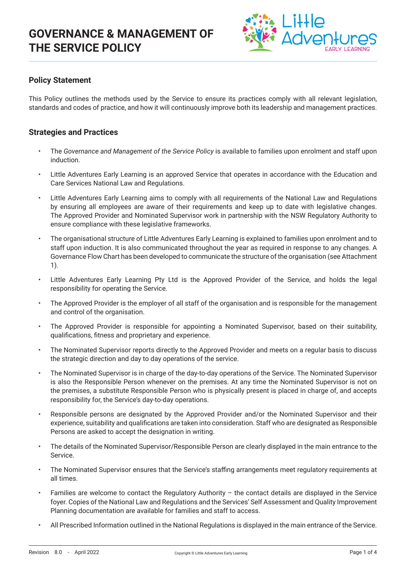

### **Policy Statement**

This Policy outlines the methods used by the Service to ensure its practices comply with all relevant legislation, standards and codes of practice, and how it will continuously improve both its leadership and management practices.

### **Strategies and Practices**

- The *Governance and Management of the Service Policy* is available to families upon enrolment and staff upon induction.
- Little Adventures Early Learning is an approved Service that operates in accordance with the Education and Care Services National Law and Regulations.
- Little Adventures Early Learning aims to comply with all requirements of the National Law and Regulations by ensuring all employees are aware of their requirements and keep up to date with legislative changes. The Approved Provider and Nominated Supervisor work in partnership with the NSW Regulatory Authority to ensure compliance with these legislative frameworks.
- The organisational structure of Little Adventures Early Learning is explained to families upon enrolment and to staff upon induction. It is also communicated throughout the year as required in response to any changes. A Governance Flow Chart has been developed to communicate the structure of the organisation (see Attachment 1).
- Little Adventures Early Learning Pty Ltd is the Approved Provider of the Service, and holds the legal responsibility for operating the Service.
- The Approved Provider is the employer of all staff of the organisation and is responsible for the management and control of the organisation.
- The Approved Provider is responsible for appointing a Nominated Supervisor, based on their suitability, qualifications, fitness and proprietary and experience.
- The Nominated Supervisor reports directly to the Approved Provider and meets on a regular basis to discuss the strategic direction and day to day operations of the service.
- The Nominated Supervisor is in charge of the day-to-day operations of the Service. The Nominated Supervisor is also the Responsible Person whenever on the premises. At any time the Nominated Supervisor is not on the premises, a substitute Responsible Person who is physically present is placed in charge of, and accepts responsibility for, the Service's day-to-day operations.
- Responsible persons are designated by the Approved Provider and/or the Nominated Supervisor and their experience, suitability and qualifications are taken into consideration. Staff who are designated as Responsible Persons are asked to accept the designation in writing.
- The details of the Nominated Supervisor/Responsible Person are clearly displayed in the main entrance to the Service.
- The Nominated Supervisor ensures that the Service's staffing arrangements meet regulatory requirements at all times.
- Families are welcome to contact the Regulatory Authority the contact details are displayed in the Service foyer. Copies of the National Law and Regulations and the Services' Self Assessment and Quality Improvement Planning documentation are available for families and staff to access.
- All Prescribed Information outlined in the National Regulations is displayed in the main entrance of the Service.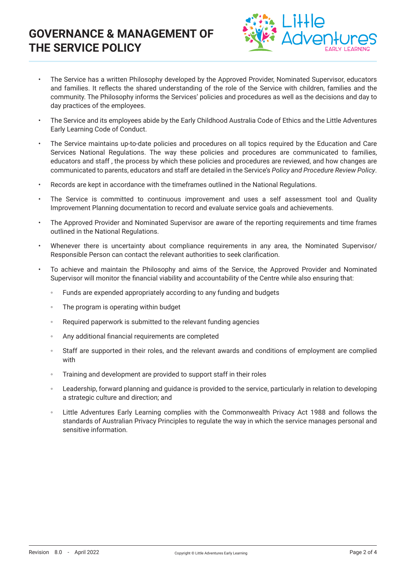

- The Service has a written Philosophy developed by the Approved Provider, Nominated Supervisor, educators and families. It reflects the shared understanding of the role of the Service with children, families and the community. The Philosophy informs the Services' policies and procedures as well as the decisions and day to day practices of the employees.
- The Service and its employees abide by the Early Childhood Australia Code of Ethics and the Little Adventures Early Learning Code of Conduct.
- The Service maintains up-to-date policies and procedures on all topics required by the Education and Care Services National Regulations. The way these policies and procedures are communicated to families, educators and staff , the process by which these policies and procedures are reviewed, and how changes are communicated to parents, educators and staff are detailed in the Service's *Policy and Procedure Review Policy*.
- Records are kept in accordance with the timeframes outlined in the National Regulations.
- The Service is committed to continuous improvement and uses a self assessment tool and Quality Improvement Planning documentation to record and evaluate service goals and achievements.
- The Approved Provider and Nominated Supervisor are aware of the reporting requirements and time frames outlined in the National Regulations.
- Whenever there is uncertainty about compliance requirements in any area, the Nominated Supervisor/ Responsible Person can contact the relevant authorities to seek clarification.
- To achieve and maintain the Philosophy and aims of the Service, the Approved Provider and Nominated Supervisor will monitor the financial viability and accountability of the Centre while also ensuring that:
	- Funds are expended appropriately according to any funding and budgets
	- The program is operating within budget
	- Required paperwork is submitted to the relevant funding agencies
	- Any additional financial requirements are completed
	- Staff are supported in their roles, and the relevant awards and conditions of employment are complied with
	- Training and development are provided to support staff in their roles
	- Leadership, forward planning and guidance is provided to the service, particularly in relation to developing a strategic culture and direction; and
	- Little Adventures Early Learning complies with the Commonwealth Privacy Act 1988 and follows the standards of Australian Privacy Principles to regulate the way in which the service manages personal and sensitive information.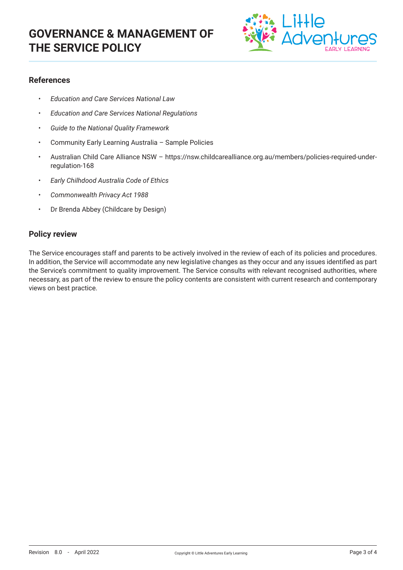

### **References**

- *• Education and Care Services National Law*
- *• Education and Care Services National Regulations*
- *• Guide to the National Quality Framework*
- Community Early Learning Australia Sample Policies
- Australian Child Care Alliance NSW https://nsw.childcarealliance.org.au/members/policies-required-underregulation-168
- *• Early Chilhdood Australia Code of Ethics*
- *• Commonwealth Privacy Act 1988*
- Dr Brenda Abbey (Childcare by Design)

#### **Policy review**

The Service encourages staff and parents to be actively involved in the review of each of its policies and procedures. In addition, the Service will accommodate any new legislative changes as they occur and any issues identified as part the Service's commitment to quality improvement. The Service consults with relevant recognised authorities, where necessary, as part of the review to ensure the policy contents are consistent with current research and contemporary views on best practice.